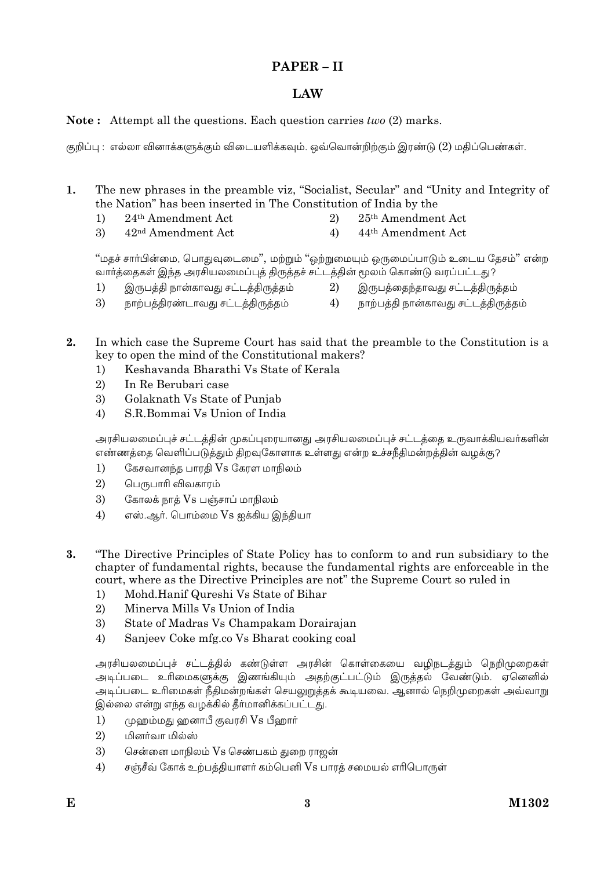## PAPER - II

# LAW

## **Note:** Attempt all the questions. Each question carries *two* (2) marks.

குறிப்பு : எல்லா வினாக்களுக்கும் விடையளிக்கவும். ஒவ்வொன்றிற்கும் இரண்டு (2) மதிப்பெண்கள்.

 $\mathbf{1}$ The new phrases in the preamble viz, "Socialist, Secular" and "Unity and Integrity of the Nation" has been inserted in The Constitution of India by the

- 25<sup>th</sup> Amendment Act 24<sup>th</sup> Amendment Act  $1)$  $\overline{2}$
- 3) 42<sup>nd</sup> Amendment Act  $4)$ 44<sup>th</sup> Amendment Act

"மதச் சார்பின்மை, பொதுவுடைமை", மற்றும் "ஒற்றுமையும் ஒருமைப்பாடும் உடைய தேசம்" என்ற .<br>வாா்த்தைகள் இந்த அரசியலமைப்புத் திருத்தச் சட்டத்தின் மூலம் கொண்டு வரப்பட்டது?

- இருபத்தி நான்காவது சட்டத்திருத்தம் இருபத்தைந்தாவது சட்டக்கிருக்கம்  $1)$ 2)
- 3) நாற்பத்திரண்டாவது சட்டத்திருத்தம்  $4)$ நாற்பத்தி நான்காவது சட்டத்திருத்தம்
- $2<sub>1</sub>$ In which case the Supreme Court has said that the preamble to the Constitution is a key to open the mind of the Constitutional makers?
	- Keshavanda Bharathi Vs State of Kerala  $1)$
	- $\overline{2}$ In Re Berubari case
	- 3) Golaknath Vs State of Punjab
	- S.R.Bommai Vs Union of India  $4)$

அரசியலமைப்புச் சட்டத்தின் முகப்புரையானது அரசியலமைப்புச் சட்டத்தை உருவாக்கியவர்களின் .<br>எண்ணத்தை வெளிப்படுத்தும் திறவுகோளாக உள்ளது என்ற உச்சநீதிமன்றத்தின் வழக்கு?

- $1)$ கேசவானந்த பாரதி Vs கேரள மாநிலம்
- $\overline{2}$ பெருபாரி விவகாரம்
- 3) கோலக் நாத் $\,\mathrm{Vs}\,$  பஞ்சாப் மாநிலம்
- $4)$ எஸ்.ஆர். பொம்மை Vs ஐக்கிய இந்தியா
- $\overline{\mathbf{3}}$ "The Directive Principles of State Policy has to conform to and run subsidiary to the chapter of fundamental rights, because the fundamental rights are enforceable in the court, where as the Directive Principles are not" the Supreme Court so ruled in
	- Mohd Hanif Qureshi Vs State of Bihar  $1)$
	- $\overline{2}$ Minerva Mills Vs Union of India
	- State of Madras Vs Champakam Dorairajan 3)
	- $4)$ Sanjeev Coke mfg.co Vs Bharat cooking coal

அரசியலமைப்புச் சட்டக்கில் கண்டுள்ள அரசின் கொள்கையை வமிநடக்கும் நெறிமுறைகள் .<br>அடிப்படை உரிமைகளுக்கு இணங்கியும் அதற்குட்பட்டும் இருத்தல் வேண்டும். ஏனெனில் அடிப்படை உரிமைகள் நீதிமன்றங்கள் செயலுறுத்தக் கூடியவை. ஆனால் நெறிமுறைகள் அவ்வாறு இல்லை என்று எந்த வழக்கில் தீர்மானிக்கப்பட்டது.

- $\left( \right)$ முஹம்மது ஹனாபீ குவரசி Vs பீஹார்
- $\overline{2}$ மினர்வா மில்ஸ்
- 3) சென்னை மாநிலம் Vs செண்பகம் துறை ராஜன்
- சஞ்சீவ் கோக் உற்பத்தியாளர் கம்பெனி Vs பாரத் சமையல் எரிபொருள்  $4)$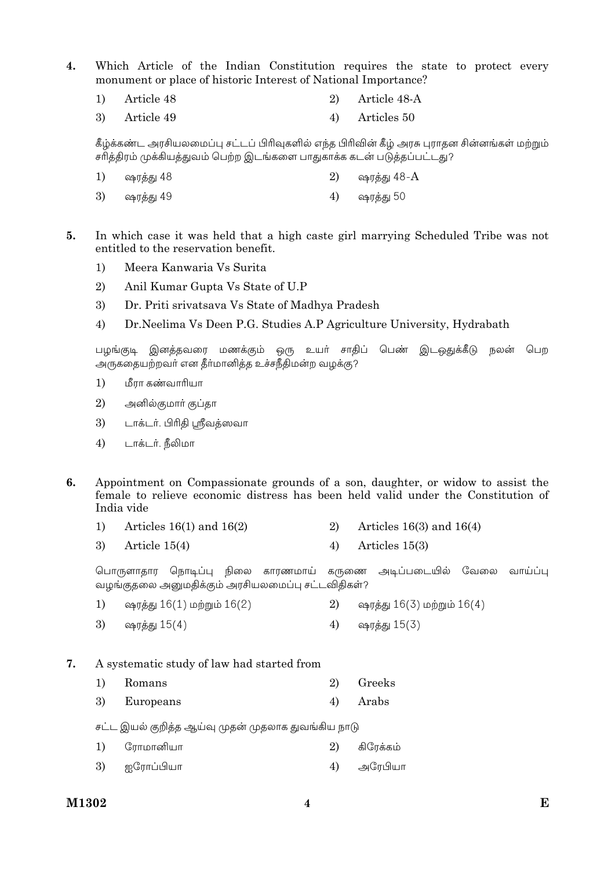- $\overline{4}$ . Which Article of the Indian Constitution requires the state to protect every monument or place of historic Interest of National Importance?
	- Article 48  $\overline{2}$ Article 48-A  $1)$
	- 3) Article 49  $4)$ Articles 50

கீழ்க்கண்ட அரசியலமைப்பு சட்டப் பிரிவுகளில் எந்த பிரிவின் கீழ் அரசு புராதன சின்னங்கள் மற்றும் சரிக்கிரம் முக்கியக்குவம் பெற்ற இடங்களை பாகுகாக்க கடன் படுக்கப்பட்டது?

- ஷரத்து  $48-A$  $1)$ ஷரக்கு 48 2) ஷரத்து 50 ஷரத்து 49  $4)$ 3)
- 5. In which case it was held that a high caste girl marrying Scheduled Tribe was not entitled to the reservation benefit.
	- Meera Kanwaria Vs Surita  $\left( \right)$
	- 2) Anil Kumar Gupta Vs State of U.P
	- $\mathfrak{Z}$ Dr. Priti srivatsava Vs State of Madhya Pradesh
	- Dr. Neelima Vs Deen P.G. Studies A.P Agriculture University, Hydrabath  $4)$

.<br>பழங்குடி இனத்தவரை மணக்கும் ஒரு உயர் சாதிப் பெண் இடஒதுக்கீடு நலன் பெற அருகதையற்றவர் என தீர்மானித்த உச்சநீதிமன்ற வழக்கு?

- $1)$ மீரா கண்வாரியா
- $(2)$ அனில்குமாா் குப்தா
- 3) டாக்டர். பிரிதி ஸ்ரீவத்ஸவா
- $4)$ டாக்டர். நீலிமா
- $\mathbf{f}$ Appointment on Compassionate grounds of a son, daughter, or widow to assist the female to relieve economic distress has been held valid under the Constitution of India vide
	- Articles  $16(3)$  and  $16(4)$  $1)$ Articles  $16(1)$  and  $16(2)$ 2)
	- 3) Article  $15(4)$  $4)$ Articles  $15(3)$

பொருளாகார நொடிப்ப நிலை காரணமாய் அடிப்படையில் வேலை கருணை வாய்ப்ப வழங்குதலை அனுமதிக்கும் அரசியலமைப்பு சட்டவிதிகள்?

- $1)$ ஷரத்து 16(1) மற்றும் 16(2)  $2)$ ஷரத்து 16(3) மற்றும் 16(4)
- 3)  $4)$ ஷரத்து 15(3) ஷரத்து 15(4)
- $\overline{7}$ . A systematic study of law had started from
	- $1)$  $2)$ Greeks Romans
	- 3) Europeans  $4)$ Arabs

சட்ட இயல் குறித்த ஆய்வு முதன் முதலாக துவங்கிய நாடு

- $1)$ ரோமானியா கிரேக்கம் 2)
- 3) ஐரோப்பியா  $4)$ அரேபியா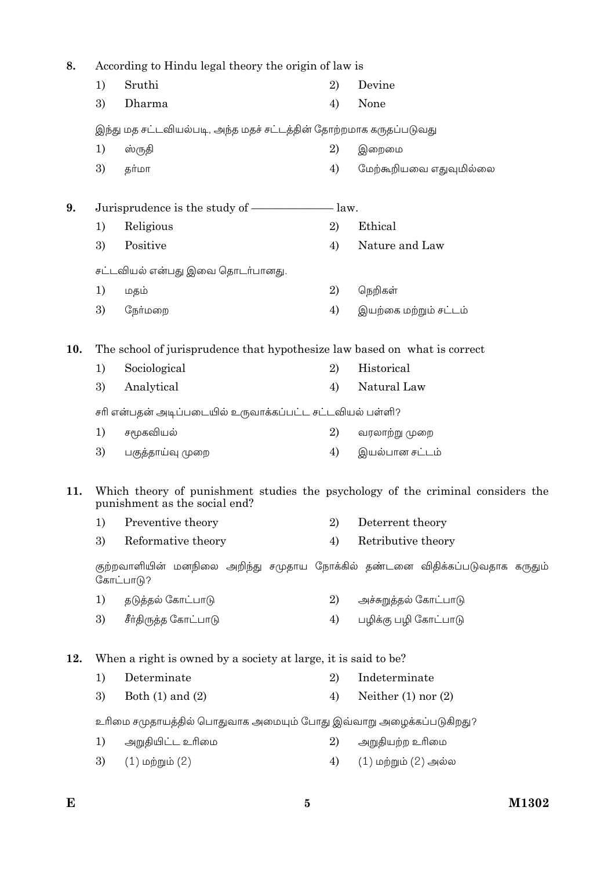| 8.  |                                                                                           | According to Hindu legal theory the origin of law is                                                             |    |                          |  |  |
|-----|-------------------------------------------------------------------------------------------|------------------------------------------------------------------------------------------------------------------|----|--------------------------|--|--|
|     | 1)                                                                                        | Sruthi                                                                                                           | 2) | Devine                   |  |  |
|     | 3)                                                                                        | Dharma                                                                                                           | 4) | None                     |  |  |
|     |                                                                                           | இந்து மத சட்டவியல்படி, அந்த மதச் சட்டத்தின் தோற்றமாக கருதப்படுவது                                                |    |                          |  |  |
|     | 1)                                                                                        | ஸ்ருதி                                                                                                           | 2) | இறைமை                    |  |  |
|     | 3)                                                                                        | தர்மா                                                                                                            | 4) | மேற்கூறியவை எதுவுமில்லை  |  |  |
| 9.  |                                                                                           | Jurisprudence is the study of ——————————————law.                                                                 |    |                          |  |  |
|     | 1)                                                                                        | Religious                                                                                                        | 2) | Ethical                  |  |  |
|     | 3)                                                                                        | Positive                                                                                                         | 4) | Nature and Law           |  |  |
|     |                                                                                           | சட்டவியல் என்பது இவை தொடர்பானது.                                                                                 |    |                          |  |  |
|     | 1)                                                                                        | மதம்                                                                                                             | 2) | நெறிகள்                  |  |  |
|     | 3)                                                                                        | நேர்மறை                                                                                                          | 4) | இயற்கை மற்றும் சட்டம்    |  |  |
| 10. |                                                                                           | The school of jurisprudence that hypothesize law based on what is correct                                        |    |                          |  |  |
|     | 1)                                                                                        | Sociological                                                                                                     | 2) | Historical               |  |  |
|     | 3)                                                                                        | Analytical                                                                                                       | 4) | Natural Law              |  |  |
|     |                                                                                           | சரி என்பதன் அடிப்படையில் உருவாக்கப்பட்ட சட்டவியல் பள்ளி?                                                         |    |                          |  |  |
|     | 1)                                                                                        | சமூகவியல்                                                                                                        | 2) | வரலாற்று முறை            |  |  |
|     | 3)                                                                                        | பகுத்தாய்வு முறை                                                                                                 | 4) | இயல்பான சட்டம்           |  |  |
| 11. |                                                                                           | Which theory of punishment studies the psychology of the criminal considers the<br>punishment as the social end? |    |                          |  |  |
|     |                                                                                           | 1) Preventive theory                                                                                             |    | 2) Deterrent theory      |  |  |
|     | 3)                                                                                        | Reformative theory                                                                                               | 4) | Retributive theory       |  |  |
|     | குற்றவாளியின் மனநிலை அறிந்து சமுதாய நோக்கில் தண்டனை விதிக்கப்படுவதாக கருதும்<br>கோட்பாடு? |                                                                                                                  |    |                          |  |  |
|     | 1)                                                                                        | தடுத்தல் கோட்பாடு                                                                                                | 2) | அச்சுறுத்தல் கோட்பாடு    |  |  |
|     | 3)                                                                                        | சீர்திருத்த கோட்பாடு                                                                                             | 4) | பழிக்கு பழி கோட்பாடு     |  |  |
| 12. |                                                                                           | When a right is owned by a society at large, it is said to be?                                                   |    |                          |  |  |
|     | 1)                                                                                        | Determinate                                                                                                      | 2) | Indeterminate            |  |  |
|     | 3)                                                                                        | Both $(1)$ and $(2)$                                                                                             | 4) | Neither $(1)$ nor $(2)$  |  |  |
|     |                                                                                           | உரிமை சமுதாயத்தில் பொதுவாக அமையும் போது இவ்வாறு அழைக்கப்படுகிறது?                                                |    |                          |  |  |
|     | 1)                                                                                        | அறுதியிட்ட உரிமை                                                                                                 | 2) | அறுதியற்ற உரிமை          |  |  |
|     | 3)                                                                                        | $(1)$ மற்றும் $(2)$                                                                                              | 4) | $(1)$ மற்றும் $(2)$ அல்ல |  |  |
|     |                                                                                           |                                                                                                                  |    |                          |  |  |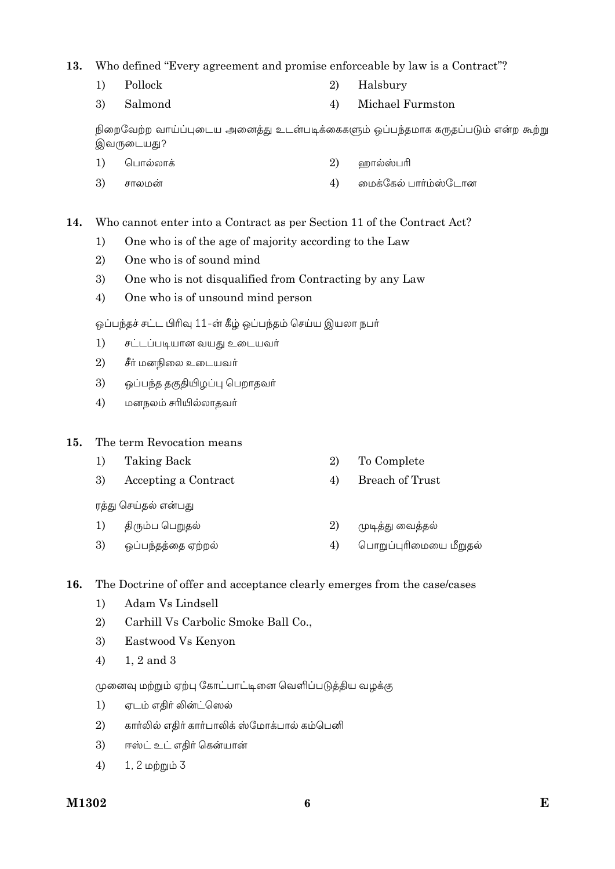### 13. Who defined "Every agreement and promise enforceable by law is a Contract"?

 $1)$ Pollock

- $2)$ Halsbury
- Michael Furmston 3) Salmond  $4)$

நிறைவேற்ற வாய்ப்புடைய அனைத்து உடன்படிக்கைகளும் ஒப்பந்தமாக கருதப்படும் என்ற கூற்று இவருடையது?

- $1)$ பொல்லாக் 2) ஹால்ஸ்பரி
- $\mathfrak{Z}$ சாலமன்  $4)$ மைக்கேல் பார்ம்ஸ்டோன

#### Who cannot enter into a Contract as per Section 11 of the Contract Act?  $14.$

- One who is of the age of majority according to the Law  $1)$
- $\overline{2}$ One who is of sound mind
- $3)$ One who is not disqualified from Contracting by any Law
- $4)$ One who is of unsound mind person

ஒப்பந்தச் சட்ட பிரிவு 11-ன் கீழ் ஒப்பந்தம் செய்ய இயலா நபர்

- $1)$ சட்டப்படியான வயது உடையவர்
- 2) சீர் மனநிலை உடையவர்
- 3) ஒப்பந்த தகுதியிழப்பு பெறாதவா்
- $4)$ மனநலம் சரியில்லாதவா்

#### 15. The term Revocation means

- $1)$ **Taking Back** 2)
- **Breach of Trust** 3) Accepting a Contract  $4)$

ரத்து செய்தல் என்பது

- $1)$ திரும்ப பெறுதல் 2)
- 3) ஒப்பந்தத்தை ஏற்றல்  $4)$

#### 16. The Doctrine of offer and acceptance clearly emerges from the case/cases

- $1)$ Adam Vs Lindsell
- $2)$ Carhill Vs Carbolic Smoke Ball Co.,
- 3) Eastwood Vs Kenyon
- 1, 2 and 3  $4)$

முனைவு மற்றும் ஏற்பு கோட்பாட்டினை வெளிப்படுத்திய வழக்கு

- ஏடம் எகிர் லின்ட்ஸெல்  $1)$
- $2)$ கார்லில் எதிர் கார்பாலிக் ஸ்மோக்பால் கம்பெனி
- 3) ஈஸ்ட் உட் எதிர் கென்யான்
- 1, 2 மற்றும் 3  $4)$
- To Complete
- 
- முடித்து வைத்தல்
- பொறுப்புரிமையை மீறுதல்
-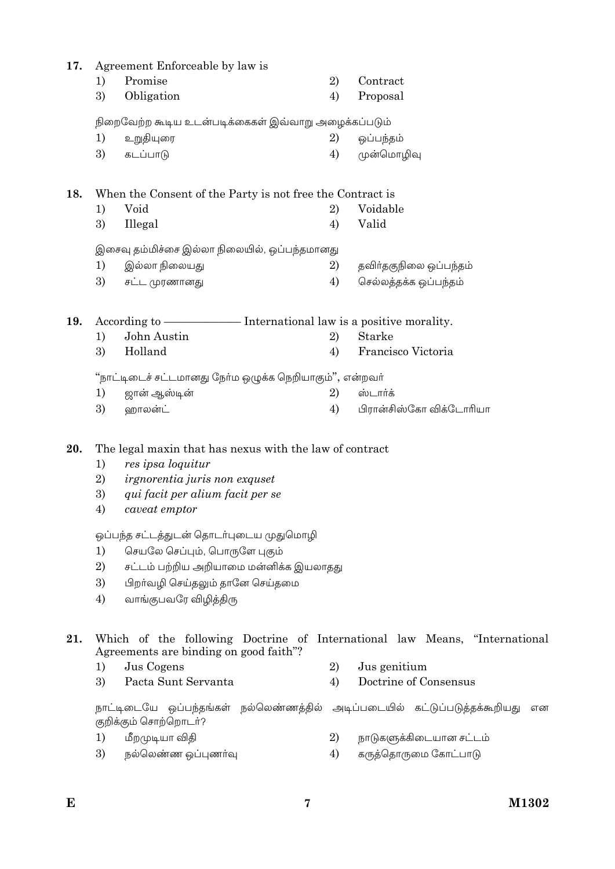| 17. |                      | Agreement Enforceable by law is                                                                                                                                           |    |                         |
|-----|----------------------|---------------------------------------------------------------------------------------------------------------------------------------------------------------------------|----|-------------------------|
|     | 1)                   | Promise                                                                                                                                                                   | 2) | Contract                |
|     | 3)                   | Obligation                                                                                                                                                                | 4) | Proposal                |
|     |                      | நிறைவேற்ற கூடிய உடன்படிக்கைகள் இவ்வாறு அழைக்கப்படும்                                                                                                                      |    |                         |
|     | 1)                   | உறுதியுரை                                                                                                                                                                 | 2) | ஒப்பந்தம்               |
|     | 3)                   | கடப்பாடு                                                                                                                                                                  | 4) | முன்மொழிவு              |
|     |                      |                                                                                                                                                                           |    |                         |
| 18. |                      | When the Consent of the Party is not free the Contract is                                                                                                                 |    |                         |
|     | 1)                   | Void                                                                                                                                                                      | 2) | Voidable                |
|     | 3)                   | Illegal                                                                                                                                                                   | 4) | Valid                   |
|     |                      |                                                                                                                                                                           |    |                         |
|     |                      | இசைவு தம்மிச்சை இல்லா நிலையில், ஒப்பந்தமானது                                                                                                                              |    |                         |
|     | 1)                   | இல்லா நிலையது                                                                                                                                                             | 2) | தவிா்தகுநிலை ஒப்பந்தம்  |
|     | 3)                   | சட்ட முரணானது                                                                                                                                                             | 4) | செல்லத்தக்க ஒப்பந்தம்   |
|     |                      |                                                                                                                                                                           |    |                         |
| 19. |                      |                                                                                                                                                                           |    |                         |
|     | 1)                   | John Austin                                                                                                                                                               | 2) | Starke                  |
|     | 3)                   | Holland                                                                                                                                                                   | 4) | Francisco Victoria      |
|     |                      | "நாட்டிடைச் சட்டமானது நோ்ம ஒழுக்க நெறியாகும்", என்றவா்                                                                                                                    |    |                         |
|     | 1)                   | ஜான் ஆஸ்டின்                                                                                                                                                              | 2) | ஸ்டார்க்                |
|     | 3)                   | ஹாலன்ட்                                                                                                                                                                   | 4) | பிரான்சிஸ்கோ விக்டோரியா |
| 20. | 1)<br>2)<br>3)<br>4) | The legal maxin that has nexus with the law of contract<br>res ipsa loquitur<br><i>irgnorentia juris non exquset</i><br>qui facit per alium facit per se<br>caveat emptor |    |                         |
|     |                      | ஒப்பந்த சட்டத்துடன் தொடர்புடைய முதுமொழி                                                                                                                                   |    |                         |
|     | 1)                   | செயலே செப்பும், பொருளே புகும்                                                                                                                                             |    |                         |
|     | 2)<br>3)             | சட்டம் பற்றிய அறியாமை மன்னிக்க இயலாதது<br>பிறா்வழி செய்தலும் தானே செய்தமை                                                                                                 |    |                         |
|     | 4)                   | வாங்குபவரே விழித்திரு                                                                                                                                                     |    |                         |
|     |                      |                                                                                                                                                                           |    |                         |
| 21. |                      | Which of the following Doctrine of International law Means, "International<br>Agreements are binding on good faith"?                                                      |    |                         |
|     | 1)                   | Jus Cogens                                                                                                                                                                | 2) | Jus genitium            |
|     | 3)                   | Pacta Sunt Servanta                                                                                                                                                       | 4) | Doctrine of Consensus   |
|     |                      | நாட்டிடையே ஒப்பந்தங்கள் நல்லெண்ணத்தில் அடிப்படையில் கட்டுப்படுத்தக்கூறியது<br>குறிக்கும் சொற்றொடா்?                                                                       |    | என                      |
|     | 1)                   | மீறமுடியா விதி                                                                                                                                                            | 2) | நாடுகளுக்கிடையான சட்டம் |
|     | 3)                   | நல்லெண்ண ஒப்புணர்வு                                                                                                                                                       | 4) | கருத்தொருமை கோட்பாடு    |
|     |                      |                                                                                                                                                                           |    |                         |

 $\bf 7$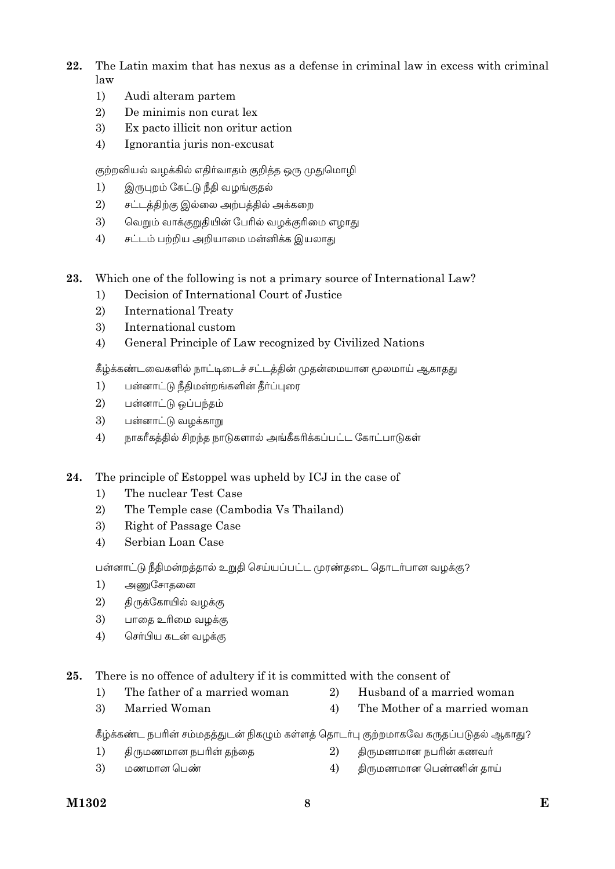- 22 The Latin maxim that has nexus as a defense in criminal law in excess with criminal  $law$ 
	- $1)$ Audi alteram partem
	- $\overline{2}$ De minimis non curat lex
	- Ex pacto illicit non oritur action 3)
	- $4)$ Ignorantia juris non-excusat

குற்றவியல் வழக்கில் எதிர்வாதம் குறித்த ஒரு முதுமொழி

- இருபுறம் கேட்டு நீதி வழங்குதல்  $1)$
- $2)$ சட்டத்திற்கு இல்லை அற்பத்தில் அக்கறை
- $\mathcal{E}$ வெறும் வாக்குறுதியின் பேரில் வழக்குரிமை எழாது
- சட்டம் பற்றிய அறியாமை மன்னிக்க இயலாது 4)
- 23. Which one of the following is not a primary source of International Law?
	- Decision of International Court of Justice  $1)$
	- $\overline{2}$ **International Treaty**
	- 3) International custom
	- General Principle of Law recognized by Civilized Nations  $4)$

கீழ்க்கண்டவைகளில் நாட்டிடைச் சட்டத்தின் முதன்மையான மூலமாய் ஆகாதது

- $1)$ பன்னாட்டு நீதிமன்றங்களின் தீர்ப்புரை
- 2) பன்னாட்டு ஒப்பந்தம்
- 3) பன்னாட்டு வழக்காறு
- $4)$ நாகரீகத்தில் சிறந்த நாடுகளால் அங்கீகரிக்கப்பட்ட கோட்பாடுகள்
- 24. The principle of Estoppel was upheld by ICJ in the case of
	- The nuclear Test Case  $1)$
	- The Temple case (Cambodia Vs Thailand) 2)
	- 3) Right of Passage Case
	- $4)$ Serbian Loan Case

பன்னாட்டு நீதிமன்றத்தால் உறுதி செய்யப்பட்ட முரண்தடை தொடர்பான வழக்கு?

- $1)$ அணுசோதனை
- 2) திருக்கோயில் வழக்கு
- 3) பாதை உரிமை வழக்கு
- $4)$ செர்பிய கடன் வழக்கு

Married Woman

25. There is no offence of adultery if it is committed with the consent of

- $1)$ The father of a married woman
- 2) Husband of a married woman
- $\overline{4}$ The Mother of a married woman

கீழ்க்கண்ட நபரின் சம்மதத்துடன் நிகழும் கள்ளத் தொடர்பு குற்றமாகவே கருதப்படுதல் ஆகாது?

- திருமணமான நபரின் தந்தை திருமணமான நபரின் கணவர்  $1)$ 2)
- 3) மணமான பெண்  $4)$ திருமணமான பெண்ணின் தாய்

 $\overline{3}$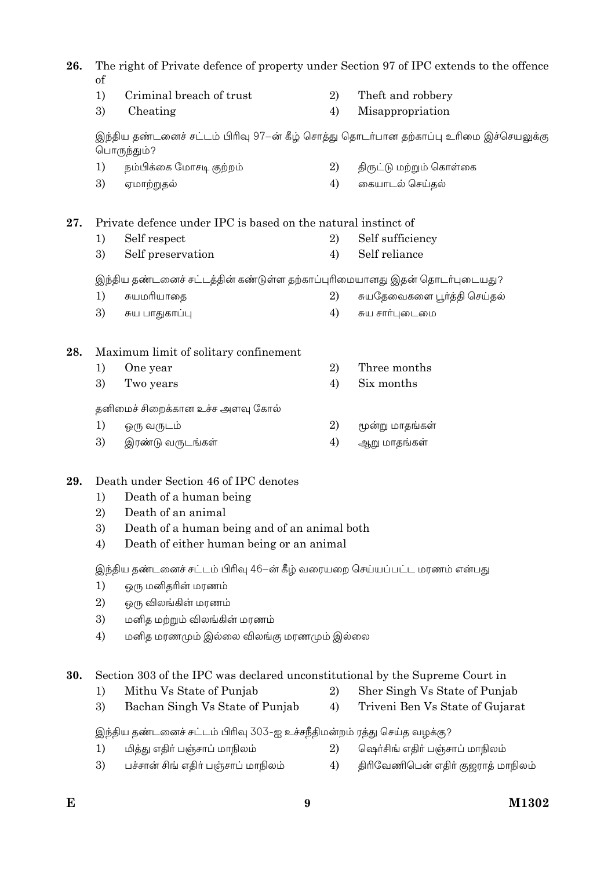The right of Private defence of property under Section 97 of IPC extends to the offence 26. of

- $1)$ Criminal breach of trust 2) Theft and robbery
- 3)  $4)$ Cheating Misappropriation

இந்திய தண்டனைச் சட்டம் பிரிவு 97–ன் கீழ் சொத்து தொடர்பான தற்காப்பு உரிமை இச்செயலுக்கு பொருந்தும்?

 $1)$ நம்பிக்கை மோசடி குற்றம்  $\overline{2}$ திருட்டு மற்றும் கொள்கை 3)  $4)$ கையாடல் செய்தல் ஏமாற்றுதல்

Private defence under IPC is based on the natural instinct of 27.

 $1)$ Self respect 2) Self sufficiency  $4)$ Self reliance 3) Self preservation

இந்திய தண்டனைச் சட்டத்தின் கண்டுள்ள தற்காப்புரிமையானது இதன் தொடர்புடையது?

- சுயதேவைகளை பூர்த்தி செய்தல்  $1)$ சுயமரியாதை  $2)$
- 3) சுய பாதுகாப்பு சுய சார்புடைமை  $4)$

#### 28. Maximum limit of solitary confinement

- $1)$ One year  $2)$ Three months
- 3) Two years  $4)$ Six months

தனிமைச் சிறைக்கான உச்ச அளவு கோல்

- $\overline{2}$  $1)$ ஒரு வருடம் மூன்று மாதங்கள்
- 3) இரண்டு வருடங்கள்  $4)$ ஆறு மாதங்கள்

#### 29. Death under Section 46 of IPC denotes

- Death of a human being  $1)$
- 2) Death of an animal
- 3) Death of a human being and of an animal both
- Death of either human being or an animal 4)

இந்திய தண்டனைச் சட்டம் பிரிவு 46–ன் கீழ் வரையறை செய்யப்பட்ட மரணம் என்பது

- $1)$ ஒரு மனிதரின் மரணம்
- $2)$ ஒரு விலங்கின் மரணம்
- 3) மனித மற்றும் விலங்கின் மரணம்
- $4)$ மனித மரணமும் இல்லை விலங்கு மரணமும் இல்லை

30. Section 303 of the IPC was declared unconstitutional by the Supreme Court in

- Mithu Vs State of Punjab  $1)$
- Bachan Singh Vs State of Punjab 3)

இந்திய தண்டனைச் சட்டம் பிரிவு 303-ஐ உச்சநீதிமன்றம் ரத்து செய்த வழக்கு?

- ஷெர்சிங் எதிர் பஞ்சாப் மாநிலம்  $1)$ மித்து எதிா் பஞ்சாப் மாநிலம்  $2)$
- பச்சான் சிங் எதிா் பஞ்சாப் மாநிலம் திரிவேணிபென் எதிர் குஜராத் மாநிலம் 3)  $4)$

9

2)

 $4)$ 

Sher Singh Vs State of Punjab

Triveni Ben Vs State of Gujarat

M1302

E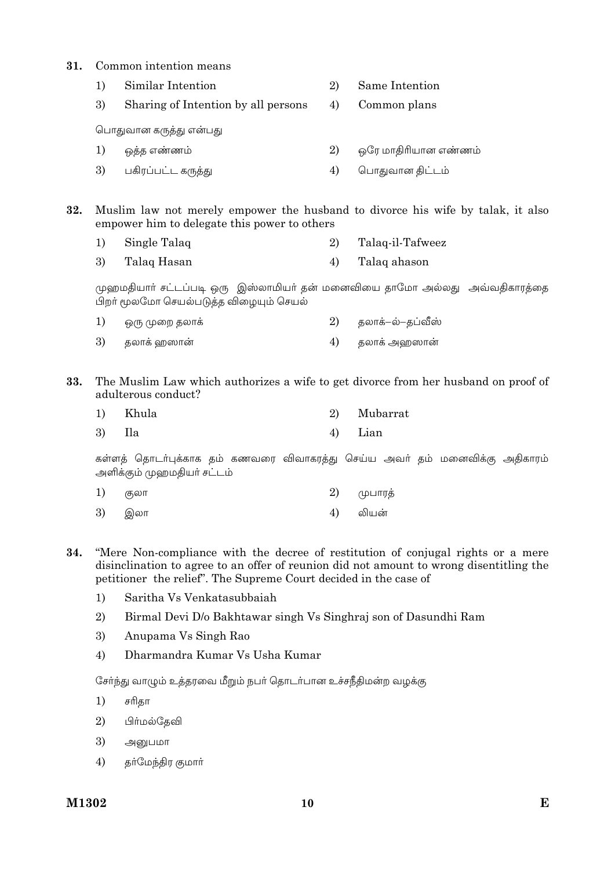#### $31$ Common intention means

|    | Similar Intention                   | 2) | Same Intention       |
|----|-------------------------------------|----|----------------------|
| 3) | Sharing of Intention by all persons | 4) | Common plans         |
|    | பொதுவான கருத்து என்பது              |    |                      |
| 1) | ஒத்த எண்ணம்                         | 2) | ஒரே மாதிரியான எண்ணம் |
| 3) | பகிரப்பட்ட கருத்து                  | 4) | பொதுவான திட்டம்      |
|    |                                     |    |                      |

Muslim law not merely empower the husband to divorce his wife by talak, it also 32. empower him to delegate this power to others

- $1)$ Single Talaq Talaq-il-Tafweez  $\overline{2}$
- $\overline{3}$ )  $4)$ Talaq Hasan Talaq ahason

முஹமதியாா் சட்டப்படி ஒரு இஸ்லாமியா் தன் மனைவியை தாமோ அல்லது அவ்வதிகாரத்தை பிறா் மூலமோ செயல்படுத்த விழையும் செயல்

| 1) | ஒரு முறை தலாக் | 2) தலாக்–ல்–தப்வீஸ் |
|----|----------------|---------------------|
|    | 3) தலாக் ஹஸான் | தலாக் அஹஸான்        |

The Muslim Law which authorizes a wife to get divorce from her husband on proof of 33. adulterous conduct?

| 1) Khula | 2) Mubarrat |
|----------|-------------|
| 3) Ila   | 4) Lian     |

கள்ளத் தொடர்புக்காக தம் கணவரை விவாகரத்து செய்ய அவர் தம் மனைவிக்கு அதிகாரம் அளிக்கும் முஹமதியர் சட்டம்

| 1) குலா | ் 2) முபாரத் |
|---------|--------------|
| 3) இலா  | 4) லியன்     |

"Mere Non-compliance with the decree of restitution of conjugal rights or a mere 34. disinclination to agree to an offer of reunion did not amount to wrong disentitling the petitioner the relief". The Supreme Court decided in the case of

- $1)$ Saritha Vs Venkatasubhaiah
- $\overline{2}$ Birmal Devi D/o Bakhtawar singh Vs Singhraj son of Dasundhi Ram
- 3) Anupama Vs Singh Rao
- 4) Dharmandra Kumar Vs Usha Kumar

சேர்ந்து வாழும் உத்தரவை மீறும் நபர் தொடர்பான உச்சநீதிமன்ற வழக்கு

- $1)$ சரிதா
- $(2)$ பிர்மல்தேவி
- 3) அனுபமா
- $4)$ தர்மேந்திர குமார்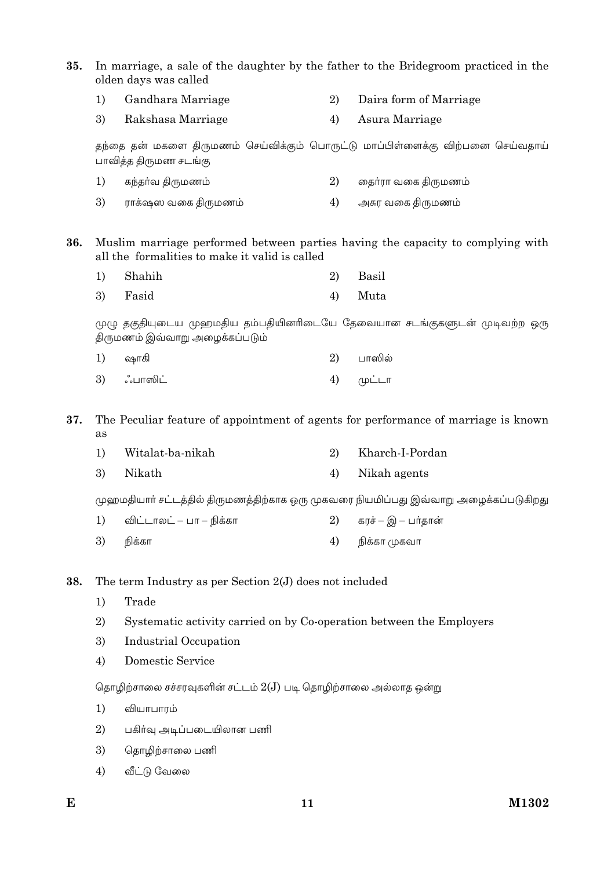35. In marriage, a sale of the daughter by the father to the Bridegroom practiced in the olden days was called

- $1)$ Gandhara Marriage 2) Daira form of Marriage
- 3) Rakshasa Marriage  $4)$ Asura Marriage

தந்தை தன் மகளை திருமணம் செய்விக்கும் பொருட்டு மாப்பிள்ளைக்கு விற்பனை செய்வதாய் பாவித்த திருமண சடங்கு

|    | 1) கந்தா்வ திருமணம் | தைா்ரா வகை திருமணம் |
|----|---------------------|---------------------|
| 3) | ராக்ஷஸ வகை திருமணம் | அசுர வகை திருமணம்   |

Muslim marriage performed between parties having the capacity to complying with 36. all the formalities to make it valid is called

| 1) Shahih | 2) Basil |
|-----------|----------|
| 3) Fasid  | 4) Muta  |

முழு தகுதியுடைய முஹமதிய தம்பதியினரிடையே தேவையான சடங்குகளுடன் முடிவற்ற ஒரு திருமணம் இவ்வாறு அழைக்கப்படும்

| 1) ஷாகி    | 2) பாஸில்         |
|------------|-------------------|
| 3) ஃபாஸிட் | $4)$ ( $\mu$ ட்டா |

37. The Peculiar feature of appointment of agents for performance of marriage is known as

| 1) | Witalat-ba-nikah | Kharch-I-Pordan |
|----|------------------|-----------------|
| 3) | Nikath           | 4) Nikah agents |

முஹமதியார் சட்டத்தில் திருமணத்திற்காக ஒரு முகவரை நியமிப்பது இவ்வாறு அழைக்கப்படுகிறது

| 1) விட்டாலட் – பா – நிக்கா | $2)$ கரச் – இ – பர்தான் |
|----------------------------|-------------------------|
| 3) நிக்கா                  | 4) நிக்கா முகவா         |

The term Industry as per Section 2(J) does not included 38.

- $1)$ Trade
- 2) Systematic activity carried on by Co-operation between the Employers
- 3) **Industrial Occupation**
- $4)$ **Domestic Service**

தொழிற்சாலை சச்சரவுகளின் சட்டம்  $2(J)$  படி தொழிற்சாலை அல்லாத ஒன்று

- $1)$ வியாபாரம்
- $\overline{2}$ பகிர்வு அடிப்படையிலான பணி
- 3) தொழிற்சாலை பணி
- 4) வீட்டு வேலை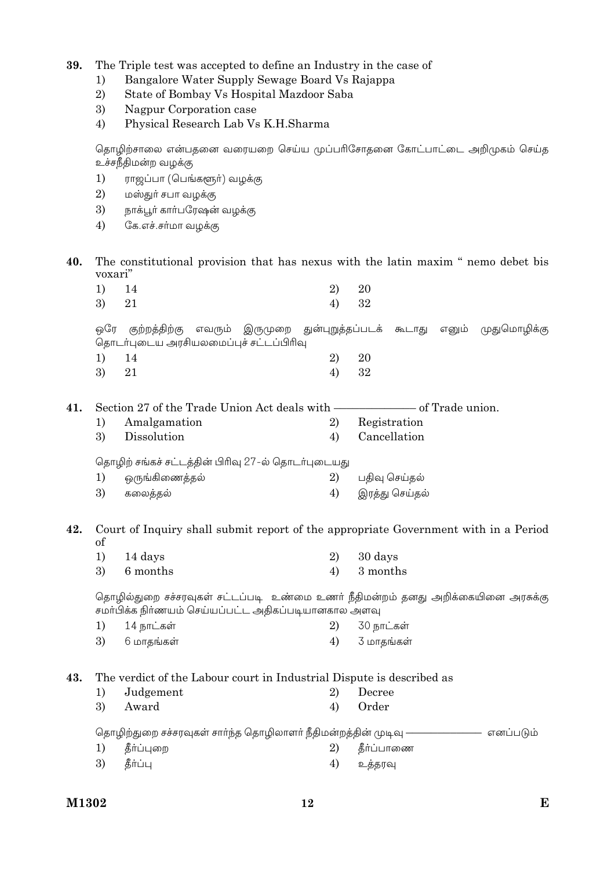39. The Triple test was accepted to define an Industry in the case of

- Bangalore Water Supply Sewage Board Vs Rajappa  $\left( \right)$
- $2)$ State of Bombay Vs Hospital Mazdoor Saba
- 3) Nagpur Corporation case
- $4)$ Physical Research Lab Vs K.H.Sharma

தொழிற்சாலை என்பதனை வரையறை செய்ய முப்பரிசோதனை கோட்பாட்டை அறிமுகம் செய்த உச்சநீதிமன்ற வழக்கு

- $1)$ ராஜப்பா (பெங்களூர்) வழக்கு
- $(2)$ மஸ்துர் சபா வழக்கு
- 3) நாக்பூர் கார்பரேஷன் வழக்கு
- $4)$ கே.எச்.சர்மா வழக்கு
- 40. The constitutional provision that has nexus with the latin maxim " nemo debet bis voxari"

| $1)$ 14 |          |                | 2) 20 |  |
|---------|----------|----------------|-------|--|
| 3) 21   |          |                | 4) 32 |  |
| $\sim$  | $\cdots$ | $\cdot$ $\sim$ |       |  |

ஒரே குற்றத்திற்கு எவரும் இருமுறை துன்புறுத்தப்படக் கூடாது எனும் முதுமொழிக்கு தொடர்புடைய அரசியலமைப்புச் சட்டப்பிரிவு  $2)$ 20  $1)$ 14

3) 21  $4)$ 32

|  | 41. Section 27 of the Trade Union Act deals with - | — of Trade union. |
|--|----------------------------------------------------|-------------------|
|--|----------------------------------------------------|-------------------|

Amalgamation 2) Registration  $1)$  $\overline{3}$ Dissolution Cancellation  $4)$ 

தொழிற் சங்கச் சட்டத்தின் பிரிவு 27-ல் தொடர்புடையது

| 1) ஒருங்கிணைத்தல் | 2) பதிவு செய்தல்  |
|-------------------|-------------------|
| 3) கலைத்தல்       | 4) இரத்து செய்தல் |

- 42. Court of Inquiry shall submit report of the appropriate Government with in a Period  $\sigma$ f
	- $1)$ 14 days  $\overline{2}$ 30 days 3) 6 months  $4)$ 3 months

தொழில்துறை சச்சரவுகள் சட்டப்படி உண்மை உணர் நீதிமன்றம் தனது அறிக்கையினை அரசுக்கு சமா்பிக்க நிா்ணயம் செய்யப்பட்ட அதிகப்படியானகால அளவு

14 நாட்கள் 30 நாட்கள்  $1)$ 2) 3)  $4)$ 6 மாதங்கள் 3 மாதங்கள்

43. The verdict of the Labour court in Industrial Dispute is described as

 $1)$ Judgement 2) Decree 3) Award  $4)$ Order

தொழிற்துறை சச்சரவுகள் சார்ந்த தொழிலாளர் நீதிமன்றத்தின் முடிவு -– எனப்படும்

- தீர்ப்புறை தீர்ப்பாணை  $1)$ 2)  $3)$ கீர்ப்ப  $4)$ உக்கரவு
- 

M1302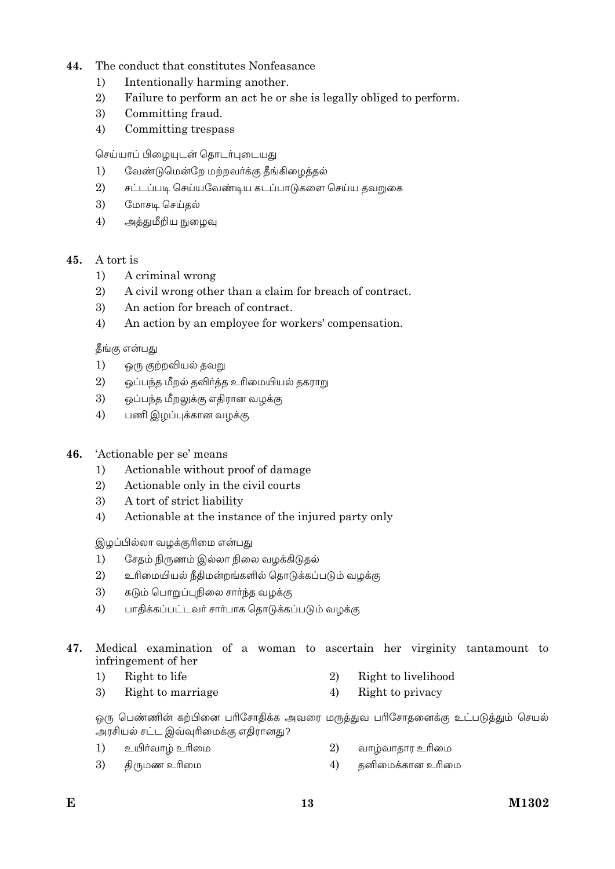## 44 The conduct that constitutes Nonfeasance

- Intentionally harming another.  $1)$
- $\overline{2}$ Failure to perform an act he or she is legally obliged to perform.
- $\overline{3}$ Committing fraud.
- $4)$ Committing trespass

செய்யாப் பிழையுடன் தொடர்புடையது

- $1)$ வேண்டுமென்றே மற்றவர்க்கு தீங்கிழைத்தல்
- $\overline{2}$ சட்டப்படி செய்யவேண்டிய கடப்பாடுகளை செய்ய தவறுகை
- $\mathfrak{Z}$ மோசடி செய்தல்
- $4)$ அத்துமீறிய நுழைவு

#### $45.$ A tort is

- $1)$ A criminal wrong
- $\overline{2}$ A civil wrong other than a claim for breach of contract.
- 3) An action for breach of contract.
- $4)$ An action by an employee for workers' compensation.

தீங்கு என்பது

- $1)$ ஒரு குற்றவியல் தவறு
- $2)$ ஒப்பந்த மீறல் தவிர்த்த உரிமையியல் தகராறு
- 3) ஒப்பந்த மீறலுக்கு எதிரான வழக்கு
- $4)$ பணி இழப்புக்கான வழக்கு

#### 46. 'Actionable per se' means

- Actionable without proof of damage  $1)$
- 2) Actionable only in the civil courts
- 3) A tort of strict liability
- $4)$ Actionable at the instance of the injured party only

இழப்பில்லா வழக்குரிமை என்பது

- $1)$ சேதம் நிருணம் இல்லா நிலை வழக்கிடுதல்
- $(2)$ உரிமையியல் நீதிமன்றங்களில் தொடுக்கப்படும் வழக்கு
- 3) கடும் பொறுப்புநிலை சார்ந்த வழக்கு
- $4)$ பாதிக்கப்பட்டவர் சார்பாக தொடுக்கப்படும் வழக்கு
- Medical examination of a woman to ascertain her virginity tantamount to 47. infringement of her
	- $\overline{2}$  $1)$ Right to life
	- 3) Right to marriage  $4)$ Right to privacy

ஒரு பெண்ணின் கற்பினை பரிசோதிக்க அவரை மருத்துவ பரிசோதனைக்கு உட்படுத்தும் செயல் அரசியல் சட்ட இவ்வுரிமைக்கு எதிரானது?

- உயிா்வாழ் உரிமை 2)  $1)$ வாழ்வாதார உரிமை
- $\mathfrak{Z}$ திருமண உரிமை  $(4)$ கனிமைக்கான உரிமை
- Right to livelihood
-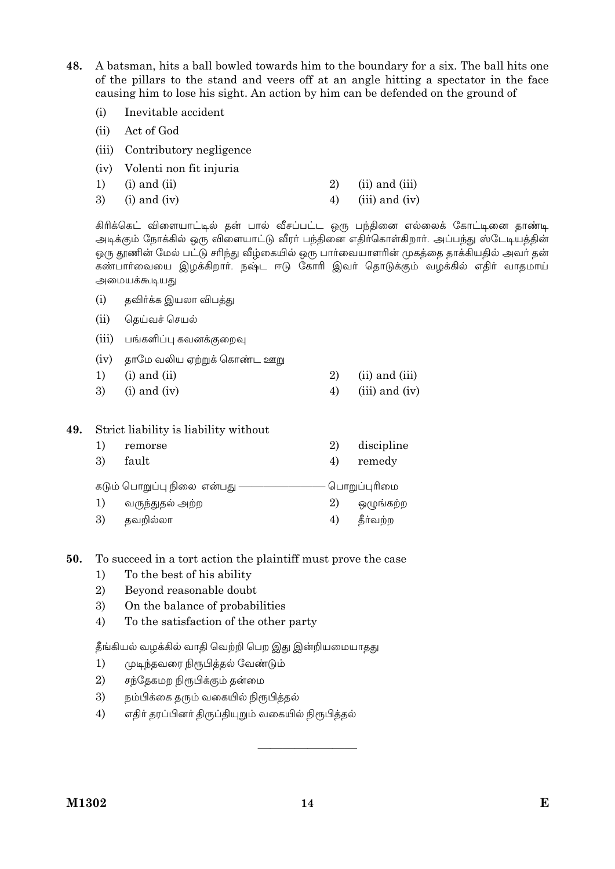48. A batsman, hits a ball bowled towards him to the boundary for a six. The ball hits one of the pillars to the stand and veers off at an angle hitting a spectator in the face causing him to lose his sight. An action by him can be defended on the ground of

- Inevitable accident  $(i)$
- $(ii)$ Act of God
- (iii) Contributory negligence
- (iv) Volenti non fit injuria
- 2)  $(ii)$  and  $(iii)$  $1)$  $(i)$  and  $(ii)$
- 3)  $4)$  $(iii)$  and  $(iv)$  $(i)$  and  $(iv)$

கிரிக்கெட் விளையாட்டில் தன் பால் வீசப்பட்ட ஒரு பந்தினை எல்லைக் கோட்டினை தாண்டி அடிக்கும் நோக்கில் ஒரு விளையாட்டு வீரர் பந்தினை எதிர்கொள்கிறார். அப்பந்து ஸ்டேடியத்தின் ஒரு தூணின் மேல் பட்டு சரிந்து வீழ்கையில் ஒரு பார்வையாளரின் முகத்தை தாக்கியதில் அவர் தன் கண்பார்வையை இழக்கிறார். நஷ்ட ஈடு கோரி இவர் தொடுக்கும் வழக்கில் எதிர் வாதமாய் அமையக்கூடியது

- தவிர்க்க இயலா விபத்து  $(i)$
- $(ii)$ தெய்வச் செயல்
- (iii) பங்களிப்பு கவனக்குறைவு
- (iv) தாமே வலிய ஏற்றுக் கொண்ட ஊறு
- $1)$  $(i)$  and  $(ii)$ 2) (ii) and (iii)  $\mathcal{E}$  $(i)$  and  $(iv)$  $4)$  $(iii)$  and  $(iv)$

#### 49. Strict liability is liability without

| 1)<br>3)                                     | remorse<br>fault | 2)<br>4) | discipline<br>remedy |
|----------------------------------------------|------------------|----------|----------------------|
| கடும் பொறுப்பு நிலை என்பது —<br>பொறுப்புரிமை |                  |          |                      |
|                                              | வருந்துதல் அற்ற  | 2)       | ஒழுங்கற்ற            |
| 3)                                           | தவறில்லா         | 4)       | தீர்வற்ற             |

#### To succeed in a tort action the plaintiff must prove the case 50.

- $1)$ To the best of his ability
- 2) Beyond reasonable doubt
- 3) On the balance of probabilities
- $4)$ To the satisfaction of the other party

தீங்கியல் வழக்கில் வாதி வெற்றி பெற இது இன்றியமையாதது

- $1)$ முடிந்தவரை நிரூபித்தல் வேண்டும்
- 2) சந்தேகமற நிரூபிக்கும் தன்மை
- 3) நம்பிக்கை தரும் வகையில் நிரூபித்தல்
- 4) எதிர் தரப்பினர் திருப்தியுறும் வகையில் நிரூபித்தல்